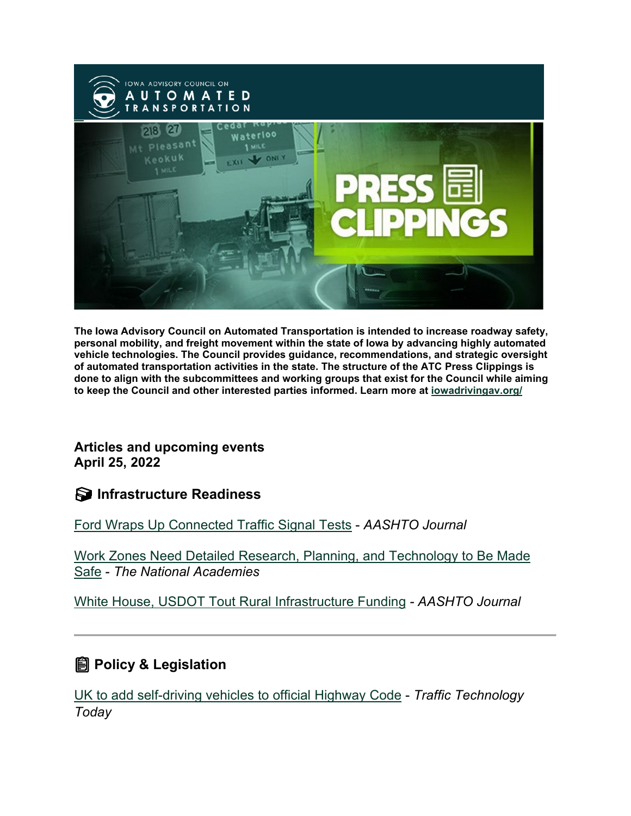

**The Iowa Advisory Council on Automated Transportation is intended to increase roadway safety, personal mobility, and freight movement within the state of Iowa by advancing highly automated vehicle technologies. The Council provides guidance, recommendations, and strategic oversight of automated transportation activities in the state. The structure of the ATC Press Clippings is done to align with the subcommittees and working groups that exist for the Council while aiming to keep the Council and other interested parties informed. Learn more at [iowadrivingav.org/](https://iowadrivingav.org/?utm_medium=email&utm_source=govdelivery)**

**Articles and upcoming events April 25, 2022** 

**S** Infrastructure Readiness

[Ford Wraps Up Connected Traffic Signal Tests](https://aashtojournal.org/2022/04/08/ford-wraps-up-connected-traffic-signal-tests/?utm_medium=email&utm_source=govdelivery) - *AASHTO Journal*

[Work Zones Need Detailed Research, Planning, and Technology to Be Made](https://www.nationalacademies.org/trb/blog/work-zones-need-detailed-research-planning-and-technology-to-be-made-safe?utm_medium=email&utm_source=govdelivery)  [Safe](https://www.nationalacademies.org/trb/blog/work-zones-need-detailed-research-planning-and-technology-to-be-made-safe?utm_medium=email&utm_source=govdelivery) - *The National Academies*

[White House, USDOT Tout Rural Infrastructure Funding](https://aashtojournal.org/2022/04/15/white-house-usdot-tout-rural-infrastructure-funding/?utm_medium=email&utm_source=govdelivery) *- AASHTO Journal*

### **Policy & Legislation**

[UK to add self-driving vehicles to official Highway Code](https://www.traffictechnologytoday.com/news/autonomous-vehicles/uk-to-add-self-driving-vehicles-to-official-highway-code.html?utm_medium=email&utm_source=govdelivery) - *Traffic Technology Today*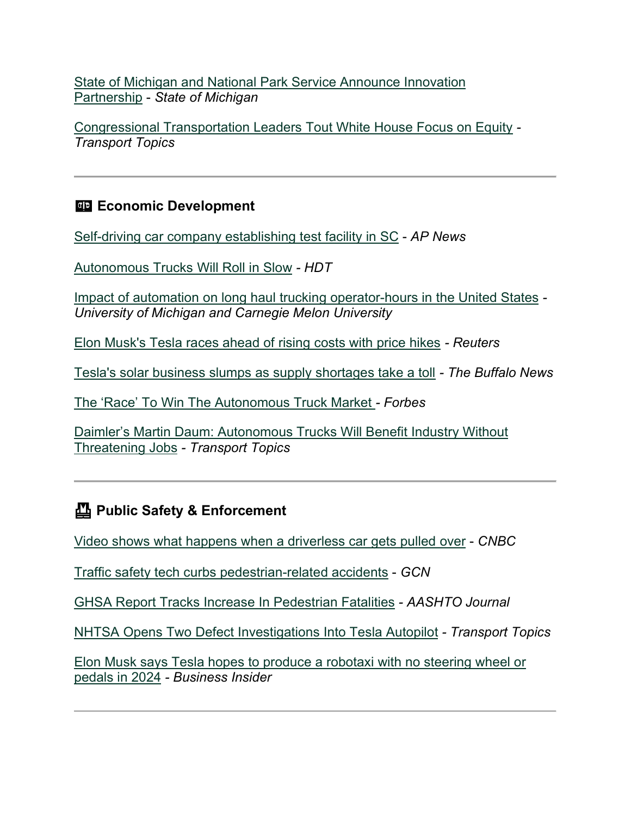[State of Michigan and National Park Service Announce Innovation](https://www.michigan.gov/whitmer/news/press-releases/2022/04/19/state-of-michigan-and-national-park-service-announce-innovation-partnership?utm_medium=email&utm_source=govdelivery)  [Partnership](https://www.michigan.gov/whitmer/news/press-releases/2022/04/19/state-of-michigan-and-national-park-service-announce-innovation-partnership?utm_medium=email&utm_source=govdelivery) - *State of Michigan*

[Congressional Transportation Leaders Tout White House Focus on Equity](https://www.ttnews.com/articles/congressional-transportation-leaders-tout-white-house-focus-equity?utm_medium=email&utm_source=govdelivery) *- Transport Topics*

#### **ED Economic Development**

[Self-driving car company establishing test facility in SC](https://apnews.com/article/technology-business-south-carolina-b41cfc11ec7fad9ba140d8da7abffb3d?utm_medium=email&utm_source=govdelivery) - *AP News*

[Autonomous Trucks Will Roll in Slow](https://www.truckinginfo.com/10167081/autonomous-trucks-will-roll-in-slow-commentary?utm_medium=email&utm_source=govdelivery) *- HDT*

[Impact of automation on long haul trucking operator-hours in the United States](https://www.nature.com/articles/s41599-022-01103-w?utm_medium=email&utm_source=govdelivery) *- University of Michigan and Carnegie Melon University*

[Elon Musk's Tesla races ahead of rising costs with price hikes](https://www.reuters.com/technology/tesla-beats-revenue-estimates-record-deliveries-2022-04-20/?utm_medium=email&utm_source=govdelivery) *- Reuters*

[Tesla's solar business slumps as supply shortages take a toll](https://buffalonews.com/business/local/teslas-solar-business-slumps-as-supply-shortages-take-a-toll/article_1ab47444-c0e7-11ec-97bb-3fd5ee82013e.html?utm_medium=email&utm_source=govdelivery) *- The Buffalo News*

[The 'Race' To Win The Autonomous Truck Market](https://www.forbes.com/sites/stevebanker/2022/04/19/the-race-to-win-the-autonomous-truck-market/?sh=6ba113246f72&utm_medium=email&utm_source=govdelivery) *- Forbes*

[Daimler's Martin Daum: Autonomous Trucks Will Benefit Industry Without](https://www.ttnews.com/articles/daimlers-martin-daum-autonomous-trucks-will-benefit-industry-without-threatening-jobs?utm_medium=email&utm_source=govdelivery)  [Threatening Jobs](https://www.ttnews.com/articles/daimlers-martin-daum-autonomous-trucks-will-benefit-industry-without-threatening-jobs?utm_medium=email&utm_source=govdelivery) *- Transport Topics*

### **Public Safety & Enforcement**

[Video shows what happens when a driverless car gets pulled over](https://www.cnbc.com/2022/04/10/video-shows-what-happens-when-a-driverless-car-gets-pulled-over.html?utm_medium=email&utm_source=govdelivery) - *CNBC*

[Traffic safety tech curbs pedestrian-related accidents](https://gcn.com/emerging-tech/2022/04/traffic-safety-tech-curbs-pedestrian-related-accidents/365761/?utm_medium=email&utm_source=govdelivery) - *GCN*

[GHSA Report Tracks Increase In Pedestrian Fatalities](https://aashtojournal.org/2022/04/15/ghsa-report-tracks-increase-in-pedestrian-fatalities/?utm_medium=email&utm_source=govdelivery) *- AASHTO Journal*

[NHTSA Opens Two Defect Investigations Into Tesla Autopilot](https://www.ttnews.com/articles/nhtsa-opens-two-defect-investigations-tesla-autopilot?utm_medium=email&utm_source=govdelivery) *- Transport Topics*

[Elon Musk says Tesla hopes to produce a robotaxi with no steering wheel or](https://www.businessinsider.com/elon-musk-tesla-build-robotaxi-without-wheel-pedals-in-2024-2022-4?utm_medium=email&utm_source=govdelivery)  [pedals in 2024](https://www.businessinsider.com/elon-musk-tesla-build-robotaxi-without-wheel-pedals-in-2024-2022-4?utm_medium=email&utm_source=govdelivery) *- Business Insider*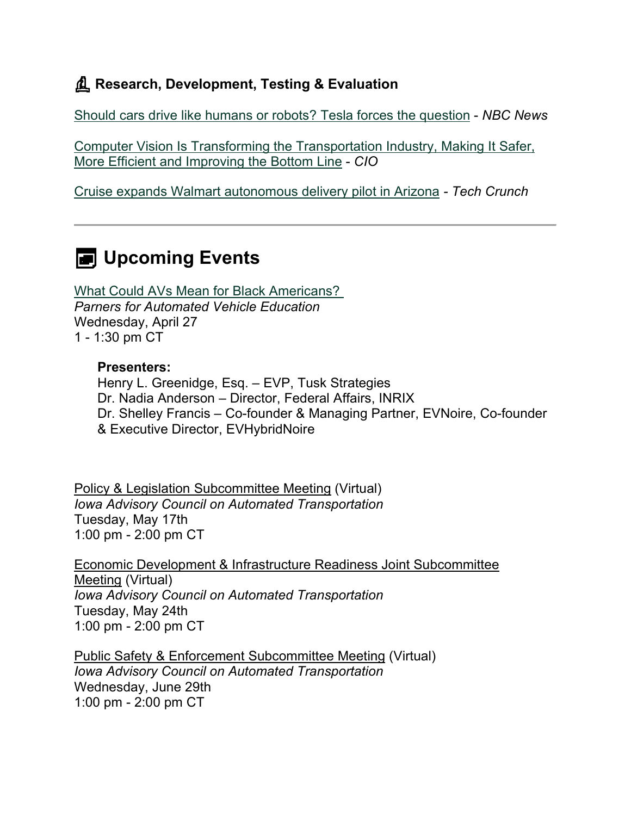## **Research, Development, Testing & Evaluation**

[Should cars drive like humans or robots? Tesla forces the question](https://www.nbcnews.com/tech/tech-news/tesla-cars-traffic-laws-drive-human-rcna20028?utm_medium=email&utm_source=govdelivery) - *NBC News*

[Computer Vision Is Transforming the Transportation Industry, Making It Safer,](https://www.cio.com/article/308384/computer-vision-is-transforming-the-transportation-industry-making-it-safer-more-efficient-and-improving-the-bottom-line.html?utm_medium=email&utm_source=govdelivery)  [More Efficient and Improving the Bottom Line](https://www.cio.com/article/308384/computer-vision-is-transforming-the-transportation-industry-making-it-safer-more-efficient-and-improving-the-bottom-line.html?utm_medium=email&utm_source=govdelivery) - *CIO*

[Cruise expands Walmart autonomous delivery pilot in Arizona](https://techcrunch.com/2022/04/12/cruise-expands-walmart-autonomous-delivery-pilot-in-arizona/?utm_medium=email&utm_source=govdelivery) *- Tech Crunch*

# **E** Upcoming Events

[What Could AVs Mean for Black Americans?](https://pavecampaign.org/event/pave-virtual-panel-what-could-avs-mean-for-black-americans/?utm_medium=email&utm_source=govdelivery)  *Parners for Automated Vehicle Education* Wednesday, April 27 1 - 1:30 pm CT

#### **Presenters:**

Henry L. Greenidge, Esq. – EVP, Tusk Strategies Dr. Nadia Anderson – Director, Federal Affairs, INRIX Dr. Shelley Francis – Co-founder & Managing Partner, EVNoire, Co-founder & Executive Director, EVHybridNoire

Policy & Legislation Subcommittee Meeting (Virtual) *Iowa Advisory Council on Automated Transportation* Tuesday, May 17th 1:00 pm - 2:00 pm CT

Economic Development & Infrastructure Readiness Joint Subcommittee Meeting (Virtual) *Iowa Advisory Council on Automated Transportation* Tuesday, May 24th 1:00 pm - 2:00 pm CT

Public Safety & Enforcement Subcommittee Meeting (Virtual) *Iowa Advisory Council on Automated Transportation* Wednesday, June 29th 1:00 pm - 2:00 pm CT